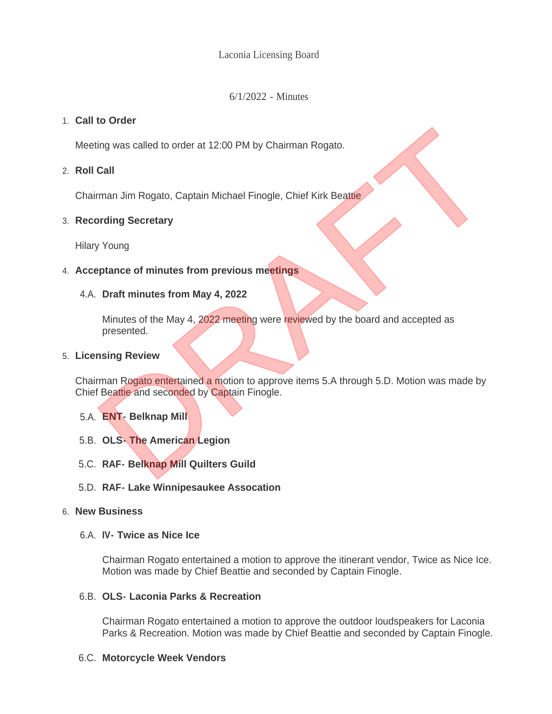Laconia Licensing Board

6/1/2022 - Minutes

# **Call to Order** 1.

Meeting was called to order at 12:00 PM by Chairman Rogato.

**Roll Call** 2.

Chairman Jim Rogato, Captain Michael Finogle, Chief Kirk Beattie

## **Recording Secretary** 3.

Hilary Young

## **Acceptance of minutes from previous meetings** 4.

### **Draft minutes from May 4, 2022** 4.A.

Minutes of the May 4, 2022 meeting were reviewed by the board and accepted as presented.

### **Licensing Review** 5.

Chairman Rogato entertained a motion to approve items 5.A through 5.D. Motion was made by Chief Beattie and seconded by Captain Finogle. The Vienting was called to order at 12:00 PM by Chairman Rogato.<br>
Call<br>
Irman Jim Rogato, Captain Michael Finogle, Chief Kirk Beattie<br>
ording Secretary<br>
Draft minutes from May 4, 2022<br>
Minutes of the May 4, 2022<br>
Minutes o

- **ENT- Belknap Mill**  5.A.
- **OLS- The American Legion** 5.B.
- **RAF- Belknap Mill Quilters Guild** 5.C.
- **RAF- Lake Winnipesaukee Assocation** 5.D.

### **New Business** 6.

**IV- Twice as Nice Ice** 6.A.

Chairman Rogato entertained a motion to approve the itinerant vendor, Twice as Nice Ice. Motion was made by Chief Beattie and seconded by Captain Finogle.

### **OLS- Laconia Parks & Recreation** 6.B.

Chairman Rogato entertained a motion to approve the outdoor loudspeakers for Laconia Parks & Recreation. Motion was made by Chief Beattie and seconded by Captain Finogle.

## **Motorcycle Week Vendors** 6.C.